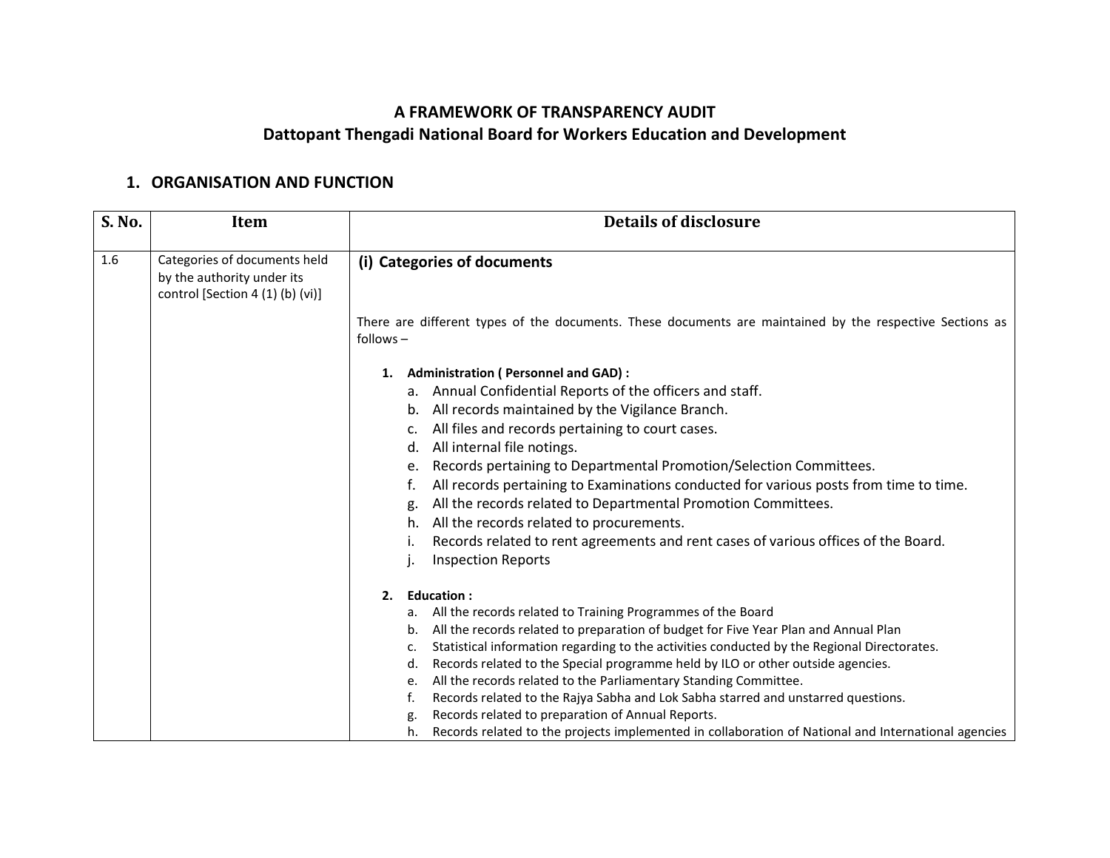## **A FRAMEWORK OF TRANSPARENCY AUDIT Dattopant Thengadi National Board for Workers Education and Development**

## **1. ORGANISATION AND FUNCTION**

| There are different types of the documents. These documents are maintained by the respective Sections as |
|----------------------------------------------------------------------------------------------------------|
|                                                                                                          |
|                                                                                                          |
|                                                                                                          |
|                                                                                                          |
|                                                                                                          |
|                                                                                                          |
|                                                                                                          |
| Records pertaining to Departmental Promotion/Selection Committees.                                       |
| All records pertaining to Examinations conducted for various posts from time to time.                    |
| All the records related to Departmental Promotion Committees.                                            |
|                                                                                                          |
| Records related to rent agreements and rent cases of various offices of the Board.                       |
|                                                                                                          |
|                                                                                                          |
|                                                                                                          |
| All the records related to preparation of budget for Five Year Plan and Annual Plan                      |
| Statistical information regarding to the activities conducted by the Regional Directorates.              |
| Records related to the Special programme held by ILO or other outside agencies.                          |
|                                                                                                          |
| Records related to the Rajya Sabha and Lok Sabha starred and unstarred questions.                        |
| Records related to the projects implemented in collaboration of National and International agencies      |
| All the records related to the Parliamentary Standing Committee.                                         |